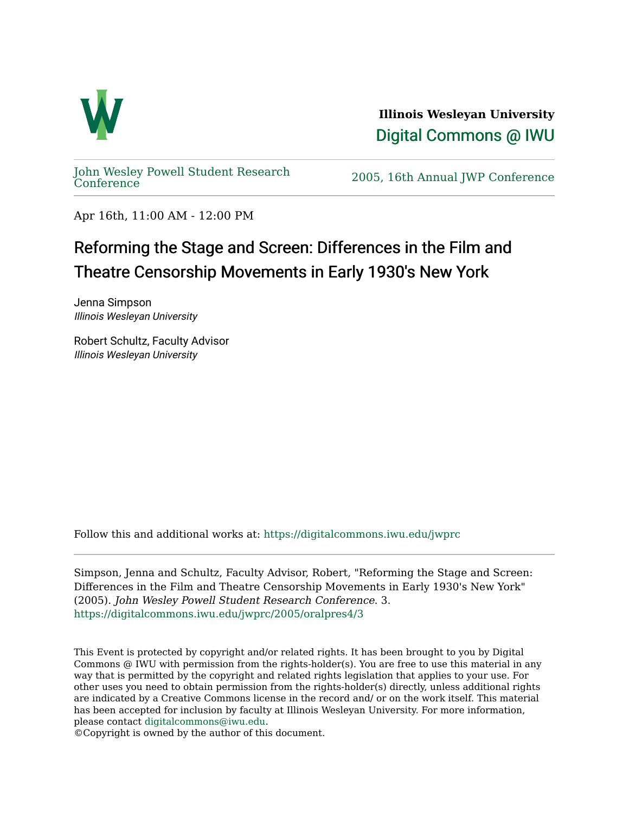

**Illinois Wesleyan University**  [Digital Commons @ IWU](https://digitalcommons.iwu.edu/) 

[John Wesley Powell Student Research](https://digitalcommons.iwu.edu/jwprc) 

2005, 16th Annual JWP [Conference](https://digitalcommons.iwu.edu/jwprc)

Apr 16th, 11:00 AM - 12:00 PM

## Reforming the Stage and Screen: Differences in the Film and Theatre Censorship Movements in Early 1930's New York

Jenna Simpson Illinois Wesleyan University

Robert Schultz, Faculty Advisor Illinois Wesleyan University

Follow this and additional works at: [https://digitalcommons.iwu.edu/jwprc](https://digitalcommons.iwu.edu/jwprc?utm_source=digitalcommons.iwu.edu%2Fjwprc%2F2005%2Foralpres4%2F3&utm_medium=PDF&utm_campaign=PDFCoverPages) 

Simpson, Jenna and Schultz, Faculty Advisor, Robert, "Reforming the Stage and Screen: Differences in the Film and Theatre Censorship Movements in Early 1930's New York" (2005). John Wesley Powell Student Research Conference. 3. [https://digitalcommons.iwu.edu/jwprc/2005/oralpres4/3](https://digitalcommons.iwu.edu/jwprc/2005/oralpres4/3?utm_source=digitalcommons.iwu.edu%2Fjwprc%2F2005%2Foralpres4%2F3&utm_medium=PDF&utm_campaign=PDFCoverPages)

This Event is protected by copyright and/or related rights. It has been brought to you by Digital Commons @ IWU with permission from the rights-holder(s). You are free to use this material in any way that is permitted by the copyright and related rights legislation that applies to your use. For other uses you need to obtain permission from the rights-holder(s) directly, unless additional rights are indicated by a Creative Commons license in the record and/ or on the work itself. This material has been accepted for inclusion by faculty at Illinois Wesleyan University. For more information, please contact [digitalcommons@iwu.edu.](mailto:digitalcommons@iwu.edu)

©Copyright is owned by the author of this document.